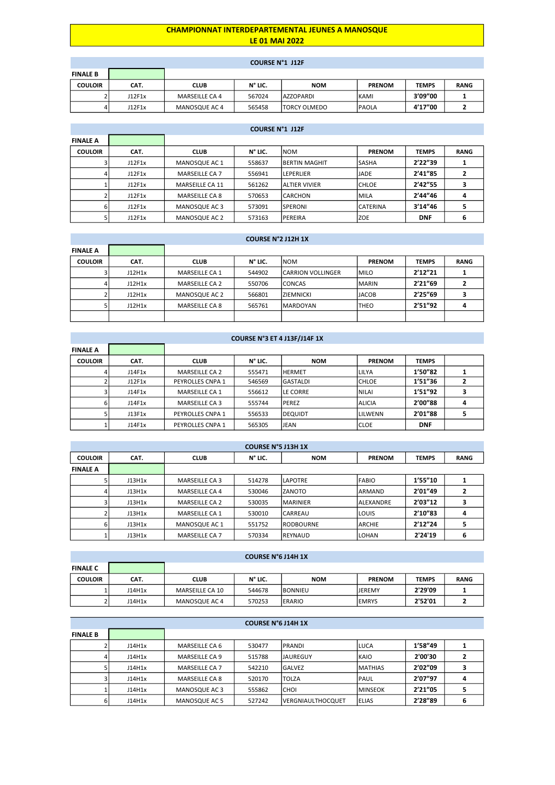## CHAMPIONNAT INTERDEPARTEMENTAL JEUNES A MANOSQUE LE 01 MAI 2022

## COURSE N°1 J12F

|                 |        |                | COUNT IN LITTLE |                      |               |              |             |
|-----------------|--------|----------------|-----------------|----------------------|---------------|--------------|-------------|
| <b>FINALE B</b> |        |                |                 |                      |               |              |             |
| <b>COULOIR</b>  | CAT.   | <b>CLUB</b>    | N° LIC.         | <b>NOM</b>           | <b>PRENOM</b> | <b>TEMPS</b> | <b>RANG</b> |
|                 | J12F1x | MARSEILLE CA 4 | 567024          | <b>AZZOPARDI</b>     | KAMI          | 3'09"00      |             |
| 4               | J12F1x | MANOSQUE AC 4  | 565458          | <b>ITORCY OLMEDO</b> | lpaola        | 4'17"00      |             |

|                 | <b>COURSE N°1 J12F</b> |                        |         |                      |               |              |             |  |  |  |  |
|-----------------|------------------------|------------------------|---------|----------------------|---------------|--------------|-------------|--|--|--|--|
| <b>FINALE A</b> |                        |                        |         |                      |               |              |             |  |  |  |  |
| <b>COULOIR</b>  | CAT.                   | <b>CLUB</b>            | N° LIC. | <b>NOM</b>           | <b>PRENOM</b> | <b>TEMPS</b> | <b>RANG</b> |  |  |  |  |
|                 | J12F1x                 | MANOSQUE AC 1          | 558637  | <b>BERTIN MAGHIT</b> | lsasha        | 2'22''39     |             |  |  |  |  |
|                 | J12F1x                 | MARSEILLE CA 7         | 556941  | LEPERLIER            | ljade.        | 2'41"85      | 2           |  |  |  |  |
|                 | J12F1x                 | <b>MARSEILLE CA 11</b> | 561262  | <b>ALTIER VIVIER</b> | ICHLOE        | 2'42"55      | 3           |  |  |  |  |
|                 | J12F1x                 | MARSEILLE CA 8         | 570653  | <b>CARCHON</b>       | İMILA         | 2'44"46      | 4           |  |  |  |  |
| 6.              | J12F1x                 | MANOSQUE AC 3          | 573091  | <b>SPERONI</b>       | ICATERINA     | 3'14"46      | 5           |  |  |  |  |
|                 | J12F1x                 | MANOSQUE AC 2          | 573163  | PEREIRA              | IZOE          | <b>DNF</b>   | 6           |  |  |  |  |

|                 | <b>COURSE N°2 J12H 1X</b> |                       |         |                    |               |              |             |  |  |  |  |
|-----------------|---------------------------|-----------------------|---------|--------------------|---------------|--------------|-------------|--|--|--|--|
| <b>FINALE A</b> |                           |                       |         |                    |               |              |             |  |  |  |  |
| <b>COULOIR</b>  | CAT.                      | <b>CLUB</b>           | N° LIC. | <b>NOM</b>         | <b>PRENOM</b> | <b>TEMPS</b> | <b>RANG</b> |  |  |  |  |
|                 | J12H1x                    | MARSEILLE CA 1        | 544902  | ICARRION VOLLINGER | Imilo         | 2'12''21     |             |  |  |  |  |
|                 | J12H1x                    | <b>MARSEILLE CA 2</b> | 550706  | <b>CONCAS</b>      | <b>IMARIN</b> | 2'21"69      |             |  |  |  |  |
|                 | J12H1x                    | MANOSQUE AC 2         | 566801  | İZIEMNICKI         | <b>IJACOB</b> | 2'25"69      |             |  |  |  |  |
|                 | J12H1x                    | MARSEILLE CA 8        | 565761  | <b>MARDOYAN</b>    | <b>THEO</b>   | 2'51"92      |             |  |  |  |  |
|                 |                           |                       |         |                    |               |              |             |  |  |  |  |

|                 | COURSE N°3 ET 4 J13F/J14F 1X |                       |         |                 |               |              |   |  |  |  |  |
|-----------------|------------------------------|-----------------------|---------|-----------------|---------------|--------------|---|--|--|--|--|
| <b>FINALE A</b> |                              |                       |         |                 |               |              |   |  |  |  |  |
| <b>COULOIR</b>  | CAT.                         | <b>CLUB</b>           | N° LIC. | <b>NOM</b>      | <b>PRENOM</b> | <b>TEMPS</b> |   |  |  |  |  |
|                 | J14F1x                       | MARSEILLE CA 2        | 555471  | <b>HERMET</b>   | LILYA         | 1'50"82      |   |  |  |  |  |
|                 | J12F1x                       | PEYROLLES CNPA 1      | 546569  | GASTALDI        | lchloe        | 1'51"36      |   |  |  |  |  |
|                 | J14F1x                       | <b>MARSEILLE CA 1</b> | 556612  | <b>LE CORRE</b> | NILAI         | 1'51"92      | з |  |  |  |  |
| 6               | J14F1x                       | <b>MARSEILLE CA 3</b> | 555744  | <b>PEREZ</b>    | <b>ALICIA</b> | 2'00"88      | 4 |  |  |  |  |
|                 | J13F1x                       | PEYROLLES CNPA 1      | 556533  | <b>DEQUIDT</b>  | LILWENN       | 2'01"88      |   |  |  |  |  |
|                 | J14F1x                       | PEYROLLES CNPA 1      | 565305  | <b>JEAN</b>     | icloe         | <b>DNF</b>   |   |  |  |  |  |

|                 | <b>COURSE N°5 J13H 1X</b> |                       |         |                  |               |              |             |  |  |  |  |
|-----------------|---------------------------|-----------------------|---------|------------------|---------------|--------------|-------------|--|--|--|--|
| <b>COULOIR</b>  | CAT.                      | <b>CLUB</b>           | N° LIC. | <b>NOM</b>       | <b>PRENOM</b> | <b>TEMPS</b> | <b>RANG</b> |  |  |  |  |
| <b>FINALE A</b> |                           |                       |         |                  |               |              |             |  |  |  |  |
|                 | J13H1x                    | MARSEILLE CA 3        | 514278  | LAPOTRE          | <b>FABIO</b>  | 1'55''10     |             |  |  |  |  |
| 4               | J13H1x                    | MARSEILLE CA 4        | 530046  | <b>ZANOTO</b>    | <b>ARMAND</b> | 2'01"49      |             |  |  |  |  |
|                 | J13H1x                    | <b>MARSEILLE CA 2</b> | 530035  | <b>MARINIER</b>  | IALEXANDRE    | 2'03"12      |             |  |  |  |  |
|                 | J13H1x                    | <b>MARSEILLE CA 1</b> | 530010  | CARREAU          | Ilouis        | 2'10"83      | 4           |  |  |  |  |
| 6               | J13H1x                    | MANOSQUE AC 1         | 551752  | <b>RODBOURNE</b> | <b>ARCHIE</b> | 2'12''24     | ב           |  |  |  |  |
|                 | J13H1x                    | <b>MARSEILLE CA 7</b> | 570334  | REYNAUD          | ILOHAN        | 2'24'19      | 6           |  |  |  |  |

|                 | LUUNJE IN 0 JIHN IA |                 |         |                |               |              |             |  |  |  |
|-----------------|---------------------|-----------------|---------|----------------|---------------|--------------|-------------|--|--|--|
| <b>FINALE C</b> |                     |                 |         |                |               |              |             |  |  |  |
| <b>COULOIR</b>  | CAT.                | CLUB            | N° LIC. | <b>NOM</b>     | <b>PRENOM</b> | <b>TEMPS</b> | <b>RANG</b> |  |  |  |
|                 | J14H1x              | MARSEILLE CA 10 | 544678  | <b>BONNIEU</b> | ljeremy       | 2'29'09      |             |  |  |  |
|                 | J14H1x              | MANOSQUE AC 4   | 570253  | <b>ERARIO</b>  | <b>LEMRYS</b> | 2'52'01      |             |  |  |  |

|                 | <b>COURSE N°6 J14H 1X</b> |                       |        |                    |                |         |  |  |  |  |  |
|-----------------|---------------------------|-----------------------|--------|--------------------|----------------|---------|--|--|--|--|--|
| <b>FINALE B</b> |                           |                       |        |                    |                |         |  |  |  |  |  |
|                 | J14H1x                    | MARSEILLE CA 6        | 530477 | <b>PRANDI</b>      | lluca          | 1'58"49 |  |  |  |  |  |
| $\overline{4}$  | J14H1x                    | MARSEILLE CA 9        | 515788 | IJAUREGUY          | <b>IKAIO</b>   | 2'00'30 |  |  |  |  |  |
|                 | J14H1x                    | <b>MARSEILLE CA 7</b> | 542210 | <b>GALVEZ</b>      | <b>MATHIAS</b> | 2'02"09 |  |  |  |  |  |
| 3               | J14H1x                    | MARSEILLE CA 8        | 520170 | <b>TOLZA</b>       | <b>PAUL</b>    | 2'07"97 |  |  |  |  |  |
|                 | J14H1x                    | MANOSQUE AC 3         | 555862 | Існої              | <b>MINSEOK</b> | 2'21"05 |  |  |  |  |  |
| 6               | J14H1x                    | MANOSQUE AC 5         | 527242 | IVERGNIAULTHOCQUET | ELIAS          | 2'28"89 |  |  |  |  |  |

# COURSE N°6 J14H 1X